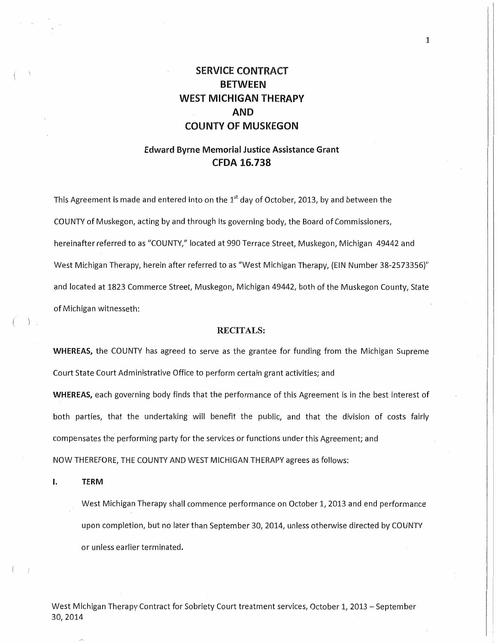# SERVICE CONTRACT BETWEEN WEST MICHIGAN THERAPY AND COUNTY OF MUSKEGON

1

# Edward Byrne Memorial Justice Assistance Grant CFDA 16.738

This Agreement is made and entered into on the  $1<sup>st</sup>$  day of October, 2013, by and between the COUNTY of Muskegon, acting by and through its governing body, the Board of Commissioners, hereinafter referred to as "COUNTY," located at 990 Terrace Street, Muskegon, Michigan 49442 and West Michigan Therapy, herein after referred to as "West Michigan Therapy, (EIN Number 38-2573356)" and located at 1823 Commerce Street, Muskegon, Michigan 49442, both of the Muskegon County, State of Michigan witnesseth:

## RECITALS:

WHEREAS, the COUNTY has agreed to serve as the grantee for funding from the Michigan Supreme Court State Court Administrative Office to perform certain grant activities; and

WHEREAS, each governing body finds that the performance of this Agreement is in the best interest of both parties, that the undertaking will benefit the public, and that the division of costs fairly compensates the performing party for the services or functions under this Agreement; and NOW THEREFORE} THE COUNTY AND WEST MICHIGAN THERAPY agrees as follows:

I. TERM

West Michigan Therapy shall commence performance on October 1, 2013 and end performance upon completion, but no later than September 30, 2014, unless otherwise directed by COUNTY or unless earlier terminated.

West Michigan Therapy Contract for Sobriety Court treatment services, October 1, 2013 - September 30, 2014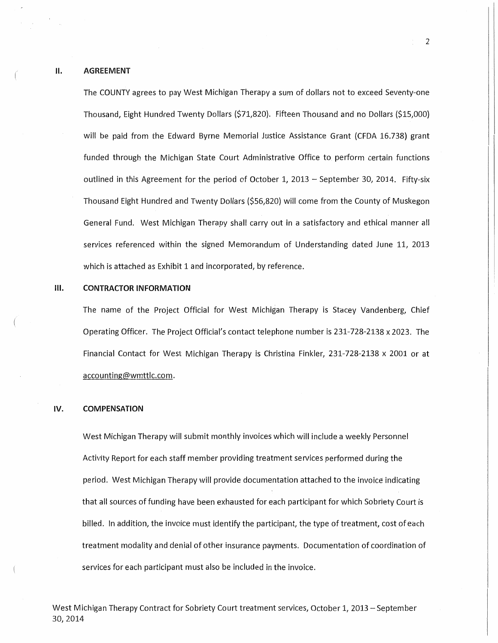The COUNTY agrees to pay West Michigan Therapy a sum of dollars not to exceed Seventy-one Thousand, Eight Hundred Twenty Dollars (\$71,820). Fifteen Thousand and no Dollars (\$15,000) will be paid from the Edward Byrne Memorial Justice Assistance Grant (CFDA 16.738) grant funded through the Michigan State Court Administrative Office to perform certain functions outlined in this Agreement for the period of October 1, 2013 - September 30, 2014. Fifty-six Thousand Eight Hundred and Twenty Dollars (\$56,820) will come from the County of Muskegon General Fund. West Michigan Therapy shall carry out in a satisfactory and ethical manner all services referenced within the signed Memorandum of Understanding dated June 11, 2013 which is attached as Exhibit 1 and incorporated, by reference.

#### Ill. CONTRACTOR INFORMATION

The name of the Project Official for West Michigan Therapy is Stacey Vandenberg, Chief Operating Officer. The Project Official's contact telephone number is 231-728-2138 x 2023. The Financial Contact for West Michigan Therapy is Christina Finkler, 231-728-2138 x 2001 or at accounting@wmttlc.com.

## IV. COMPENSATION

West Michigan Therapy will submit monthly invoices which will include a weekly Personnel Activity Report for each staff member providing treatment services performed during the period. West Michigan Therapy will provide documentation attached to the invoice indicating that all sources of funding have been exhausted for each participant for which Sobriety Court is billed. In addition, the invoice must identify the participant, the type of treatment, cost of each treatment modality and denial of other insurance payments. Documentation of coordination of services for each participant must also be included in the invoice.

West Michigan Therapy Contract for Sobriety Court treatment services, October 1, 2013 - September 30,2014

2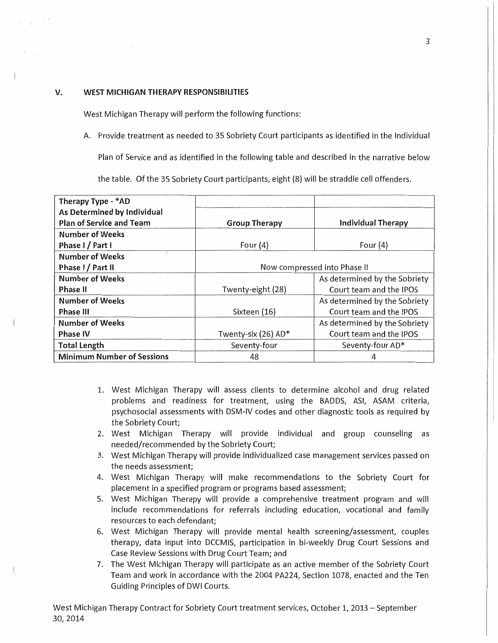## V. WEST MICHIGAN THERAPY RESPONSIBILITIES

West Michigan Therapy will perform the following functions:

A. Provide treatment as needed to 35 Sobriety Court participants as identified in the Individual

Plan of Service and as identified in the following table and described in the narrative below

the table. Of the 35 Sobriety Court participants, eight (8) will be straddle cell offenders.

| Therapy Type - *AD                |                              |                               |
|-----------------------------------|------------------------------|-------------------------------|
| As Determined by Individual       |                              |                               |
| <b>Plan of Service and Team</b>   | <b>Group Therapy</b>         | <b>Individual Therapy</b>     |
| Number of Weeks                   |                              |                               |
| Phase I / Part I                  | Four $(4)$                   | Four $(4)$                    |
| Number of Weeks                   |                              |                               |
| Phase I / Part II                 | Now compressed into Phase II |                               |
| <b>Number of Weeks</b>            |                              | As determined by the Sobriety |
| <b>Phase II</b>                   | Twenty-eight (28)            | Court team and the IPOS       |
| Number of Weeks                   |                              | As determined by the Sobriety |
| <b>Phase III</b>                  | Sixteen (16)                 | Court team and the IPOS       |
| <b>Number of Weeks</b>            |                              | As determined by the Sobriety |
| <b>Phase IV</b>                   | Twenty-six (26) AD*          | Court team and the IPOS       |
| <b>Total Length</b>               | Seventy-four                 | Seventy-four AD*              |
| <b>Minimum Number of Sessions</b> | 48                           |                               |

- 1. West Michigan Therapy will assess clients to determine alcohol and drug related problems and readiness for treatment, using the BADDS, ASI, ASAM criteria, psychosocial assessments with DSM-IV codes and other diagnostic tools as required by the Sobriety Court;
- 2. West Michigan Therapy will provide individual and group counseling· as needed/recommended by the Sobriety Court;
- 3. West Michigan Therapy will provide individualized case management services passed on the needs assessment;
- 4. West Michigan Therapy will make recommendations to the Sobriety Court for placement in a specified program or programs based assessment;
- 5. West Michigan Therapy will provide a comprehensive treatment program and will include recommendations for referrals including education, vocational and family resources to each defendant;
- 6. West Michigan Therapy will provide mental health screening/assessment, couples therapy, data input into DCCMIS, participation in bi-weekly Drug Court Sessions and Case Review Sessions with Drug Court Team; and
- 7. The West Michigan Therapy will participate as an active member of the Sobriety Court Team and work in accordance with the 2004 PA224, Section 1078, enacted and the Ten Guiding Principles of DWI Courts.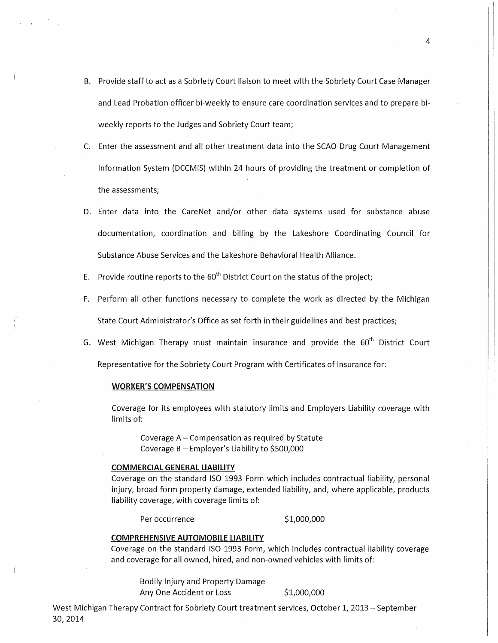- B. Provide staff to act as a Sobriety Court liaison to meet with the Sobriety Court Case Manager and Lead Probation officer bi-weekly to ensure care coordination services and to prepare biweekly reports to the Judges and Sobriety Court team;
- C. Enter the assessment and all other treatment data into the SCAO Drug Court Management Information System {DCCMIS) within 24 hours of providing the treatment or completion of the assessments;
- D. Enter data into the CareNet and/or other data systems used for substance abuse documentation, coordination and billing by the Lakeshore Coordinating Council for Substance Abuse Services and the Lakeshore Behavioral Health Alliance.
- E. Provide routine reports to the  $60<sup>th</sup>$  District Court on the status of the project;
- F. Perform all other functions necessary to complete the work as directed by the Michigan State Court Administrator's Office as set forth in their guidelines and best practices;
- G. West Michigan Therapy must maintain insurance and provide the  $60<sup>th</sup>$  District Court

Representative for the Sobriety Court Program with Certificates of Insurance for:

#### WORKER'S COMPENSATION

Coverage for its employees with statutory limits and Employers Liability coverage with limits of:

Coverage A- Compensation as required by Statute Coverage  $B -$  Employer's Liability to \$500,000

#### COMMERCIAl GENERAl liABiliTY

Coverage on the standard ISO 1993 Form which includes contractual liability, personal injury, broad form property damage, extended liability, and, where applicable, products liability coverage, with coverage limits of:

Per occurrence \$1,000,000

#### COMPREHENSIVE AUTOMOBilE liABiliTY

Coverage on the standard ISO 1993 Form, which includes contractual liability coverage and coverage for all owned, hired, and non-owned vehicles with limits of:

Bodily Injury and Property Damage Any One Accident or Loss \$1,000,000

West Michigan Therapy Contract for Sobriety Court treatment services, October 1, 2013 - September 30,2014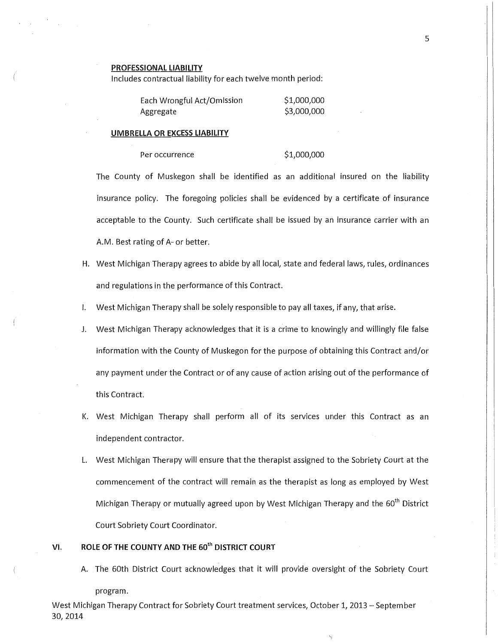#### PROFESSIONAL LIABILITY

Includes contractual liability for each twelve month period:

| Each Wrongful Act/Omission | \$1,000,000 |
|----------------------------|-------------|
| Aggregate                  | \$3,000,000 |

#### UMBRELLA OR EXCESS LIABILITY

Per occurrence \$1,000,000

The County of Muskegon shall be identified as an additional insured on the liability insurance policy. The foregoing policies shall be evidenced by a certificate of insurance acceptable to the County. Such certificate shall be issued by an insurance carrier with an A.M. Best rating of A- or better.

- H. West Michigan Therapy agrees to abide by all local, state and federal laws, rules, ordinances and regulations in the performance of this Contract.
- I. West Michigan Therapy shall be solely responsible to pay all taxes, if any, that arise.
- J. West Michigan Therapy acknowledges that it is a crime to knowingly and willingly file false information with the County of Muskegon for the purpose of obtaining this Contract and/or any payment under the Contract or of any cause of action arising out of the performance of this Contract.
- K. West Michigan Therapy shall perform all of its services under this Contract as an independent contractor.
- L. West Michigan Therapy will ensure that the therapist assigned to the Sobriety Court at the commencement of the contract will remain as the therapist as long as employed by West Michigan Therapy or mutually agreed upon by West Michigan Therapy and the 60<sup>th</sup> District Court Sobriety Court Coordinator.

# VI. ROLE OF THE COUNTY AND THE 60<sup>th</sup> DISTRICT COURT

A. The 60th District Court acknowledges that it will provide oversight of the Sobriety Court

program.

West Michigan Therapy Contract for Sobriety Court treatment services, October 1, 2013 - September 30,2014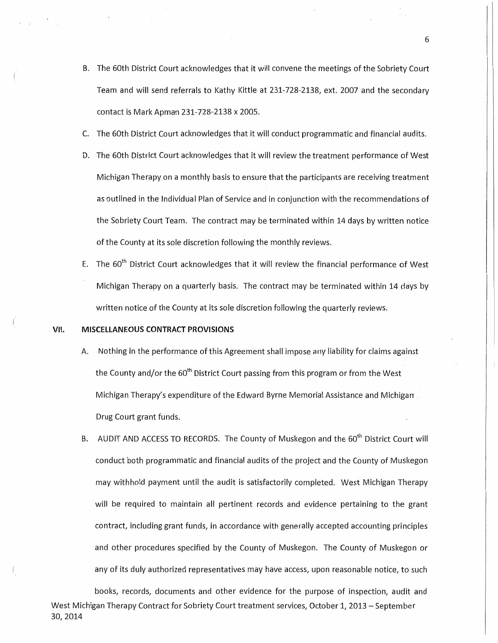- B. The 60th District Court acknowledges that it will convene the meetings of the Sobriety Court Team and will send referrals to Kathy Kittle at 231-728-2138, ext. 2007 and the secondary contact is Mark Apman 231-728-2138 x 2005.
- C. The 60th District Court acknowledges that it will conduct programmatic and financial audits.
- D. The 60th District Court acknowledges that it will review the treatment performance of West Michigan Therapy on a monthly basis to ensure that the participants are receiving treatment as outlined in the Individual Plan of Service and in conjunction with the recommendations of the Sobriety Court Team. The contract may be terminated within 14 days by written notice of the County at its sole discretion following the monthly reviews.
- E. The  $60<sup>th</sup>$  District Court acknowledges that it will review the financial performance of West Michigan Therapy on a quarterly basis. The contract may be terminated within 14 days by written notice of the County at its sole discretion following the quarterly reviews.

## VII. MISCEllANEOUS CONTRACT PROVISIONS

- A. Nothing in the performance of this Agreement shall impose any liability for claims against the County and/or the 60<sup>th</sup> District Court passing from this program or from the West Michigan Therapy's expenditure of the Edward Byrne Memorial Assistance and Michigan. Drug Court grant funds.
- B. AUDIT AND ACCESS TO RECORDS. The County of Muskegon and the 60<sup>th</sup> District Court will conduct both programmatic and financial audits of the project and the County of Muskegon may withhold payment until the audit is satisfactorily completed. West Michigan Therapy will be required to maintain all pertinent records and evidence pertaining to the grant contract, including grant funds, in accordance with generally accepted accounting principles and other procedures specified by the County of Muskegon. The County of Muskegon or any of its duly authorized representatives may have access, upon reasonable notice, to such

books, records, documents and other evidence for the purpose of inspection, audit and West Michigan Therapy Contract for Sobriety Court treatment services, October 1, 2013 - September 30,2014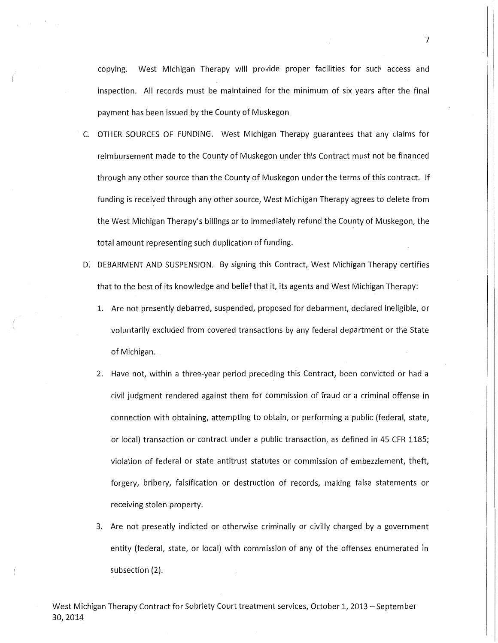copying. West Michigan Therapy will provide proper facilities for such access and inspection. All records must be maintained for the minimum of six years after the final payment has been issued by the County of Muskegon.

- C. OTHER SOURCES OF FUNDING. West Michigan Therapy guarantees that any claims for reimbursement made to the County of Muskegon under this Contract must not be financed through any other source than the County of Muskegon under the terms of this contract. If funding is received through any other source, West Michigan Therapy agrees to delete from the West Michigan Therapy's billings or to immediately refund the County of Muskegon, the total amount representing such duplication of funding.
- D: DEBARMENT AND SUSPENSION. By signing this Contract, West Michigan Therapy certifies that to the best of its knowledge and belief that it, its agents and West Michigan Therapy:
	- 1. Are not presently debarred, suspended, proposed for debarment, declared ineligible, or voluntarily excluded from covered transactions by any federal department or the State of Michigan.
	- 2. Have not, within a three-year period preceding this Contract, been convicted or had a civil judgment rendered against them for commission of fraud or a criminal offense in connection with obtaining, attempting to obtain, or performing a public (federal, state, or local) transaction or contract under a public transaction, as defined in 45 CFR 1185; violation of federal or state antitrust statutes or commission of embezzlement, theft, forgery, bribery, falsification or destruction of records, making false statements or receiving stolen property.
	- 3. Are not presently indicted or otherwise criminally or civilly charged by a government entity (federal, state, or local) with commission of any of the offenses enumerated in subsection (2).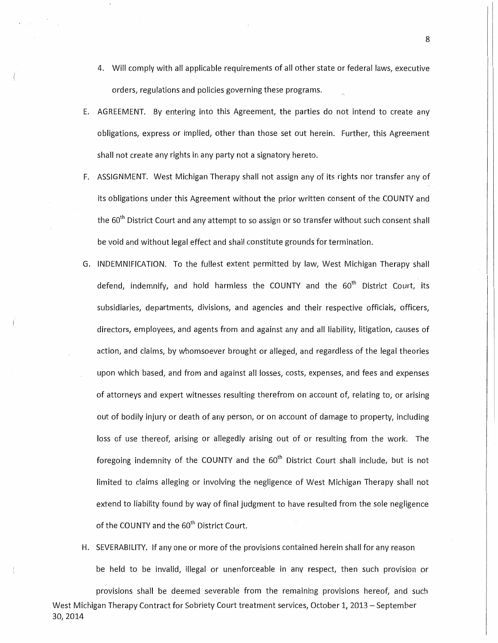- 4. Will comply with all applicable requirements of all other state or federal laws, executive orders, regulations and policies governing these programs.
- E. AGREEMENT. By entering into this Agreement, the parties do not intend to create any obligations, express or implied, other than those set out herein. Further, this Agreement shall not create any rights in any party not a signatory hereto.
- F. ASSIGNMENT. West Michigan Therapy shall not assign any of its rights nor transfer any of its obligations under this Agreement without the prior written consent of the COUNTY and the  $60^{th}$  District Court and any attempt to so assign or so transfer without such consent shall be void and without legal effect and shall constitute grounds for termination.
- G. INDEMNIFICATION. To the fullest extent permitted by law, West Michigan Therapy shall defend, indemnify, and hold harmless the COUNTY and the  $60<sup>th</sup>$  District Court, its subsidiaries, departments, divisions, and agencies and their respective officials, officers, directors, employees, and agents from and against any and all liability, litigation, causes of action, and claims, by whomsoever brought or alleged, and regardless of the legal theories upon which based, and from and against all losses, costs, expenses, and fees and expenses of attorneys and expert witnesses resulting therefrom on account of, relating to, or arising out of bodily injury or death of any person, or on account of damage to property, including loss of use thereof, arising or allegedly arising out of or resulting from the work. The foregoing indemnity of the COUNTY and the  $60<sup>th</sup>$  District Court shall include, but is not limited to claims alleging or involving the negligence of West Michigan Therapy shall not extend to liability found by way of final judgment to have resulted from the sole negligence of the COUNTY and the 60<sup>th</sup> District Court.
- H. SEVERABILITY. If any one or more of the provisions contained herein shall for any reason be held to be invalid, illegal or unenforceable in any respect, then such provision or

provisions shall be deemed severable from the remaining provisions hereof, and such West Michigan Therapy Contract for Sobriety Court treatment services, October 1, 2013 - September 30,2014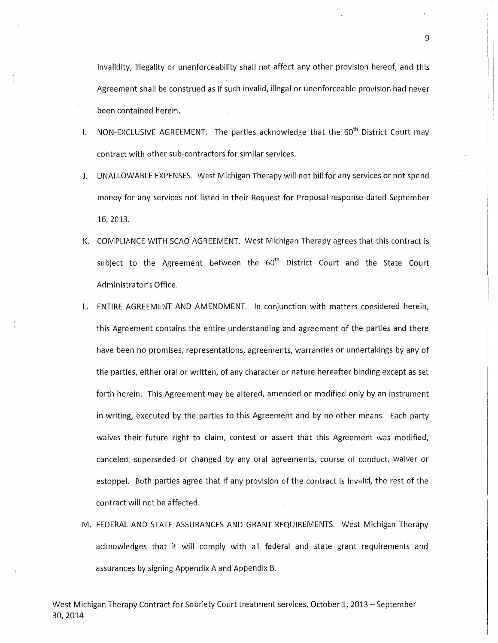invalidity, illegality or unenforceability shall not affect any other provision hereof, and this Agreement shall be construed as if such invalid, illegal or unenforceable provision had never been contained herein.

- I. NON-EXCLUSIVE AGREEMENT. The parties acknowledge that the  $60<sup>th</sup>$  District Court may contract with other sub-contractors for similar services.
- J. UNALLOWABLE EXPENSES. West Michigan Therapy will not bill for any services or not spend money for any services not listed in their Request for Proposal response dated September 16, 2013.
- K. COMPLIANCE WITH SCAO AGREEMENT. West Michigan Therapy agrees that this contract is subject to the Agreement between the  $60<sup>th</sup>$  District Court and the State Court Administrator's Office.
- ENTIRE AGREEMENT AND AMENDMENT. In conjunction with matters considered herein, this Agreement contains the entire understanding and agreement of the parties and there have been no promises, representations, agreements, warranties or undertakings by any of the parties, either oral or written, of any character or nature hereafter binding except as set forth herein. This Agreement may be altered, amended or modified only by an instrument in writing, executed by the parties to this Agreement and by no other means. Each party waives their future right to claim, contest or assert that this Agreement was modified, canceled, superseded or changed by any oral agreements, course of conduct, waiver or estoppel. Both parties agree that if any provision of the contract is invalid, the rest of the contract will not be affected.
- M. FEDERAL AND STATE ASSURANCES AND GRANT REQUIREMENTS. West Michigan Therapy acknowledges that it will comply with all federal and state grant requirements and assurances by signing Appendix A and Appendix B.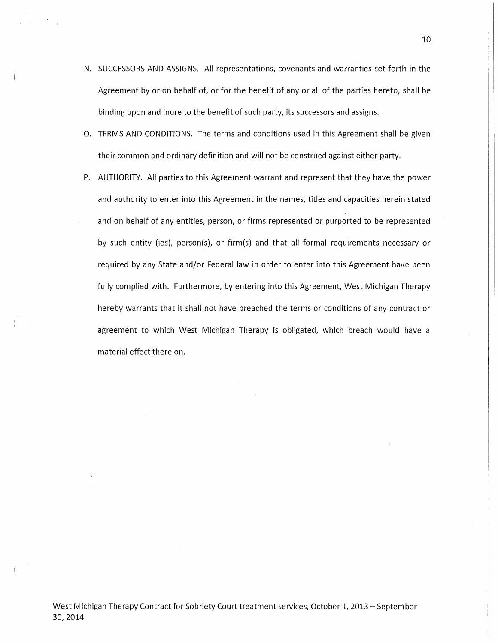N. SUCCESSORS AND ASSIGNS. All representations, covenants and warranties set forth in the Agreement by or on behalf of, or for the benefit of any or all of the parties hereto, shall be binding upon and inure to the benefit of such party, its successors and assigns.

.(

- 0. TERMS AND CONDITIONS. The terms and conditions used in this Agreement shall be given their common and ordinary definition and will not be construed against either party.
- P. AUTHORITY. All parties to this Agreement warrant and represent that they have the power and authority to enter into this Agreement in the names, titles and capacities herein stated and on behalf of any entities, person, or firms represented or purported to be represented by such entity (ies}, person(s), or firm(s) and that all formal requirements necessary or required by any State and/or Federal law in order to enter into this Agreement have been fully complied with. Furthermore, by entering into this Agreement, West Michigan Therapy hereby warrants that it shall not have breached the terms or conditions of any contract or agreement to which West Michigan Therapy is obligated, which breach would have a material effect there on.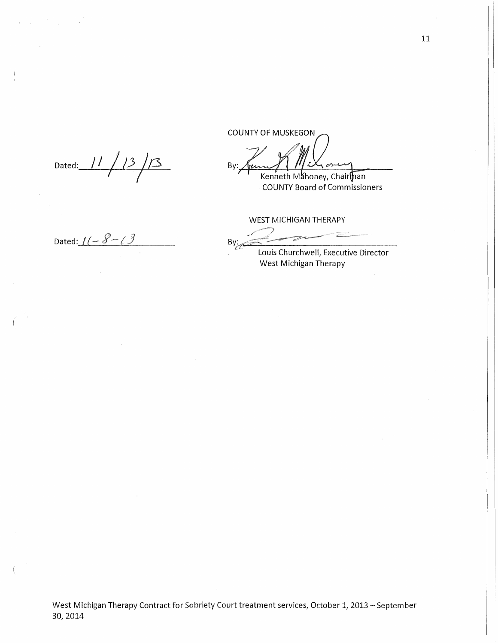Dated:-----'---/ *1\_\_,\_/\_\_\_\_./\_3-JI-)..\_\_}3\_*  I I

Dated: *I(-8-13* 

**COUNTY OF MUSKEGON** By:  $\mathscr{D}$ 

Kenneth Mahoney, Chairlhan **COUNTY Board of Commissioners** 

WEST MICHIGAN THERAPY

By:

Louis Executive Director West Michigan Therapy

West Michigan Therapy Contract for Sobriety Court treatment services, October 1, 2013 - September 30,2014

11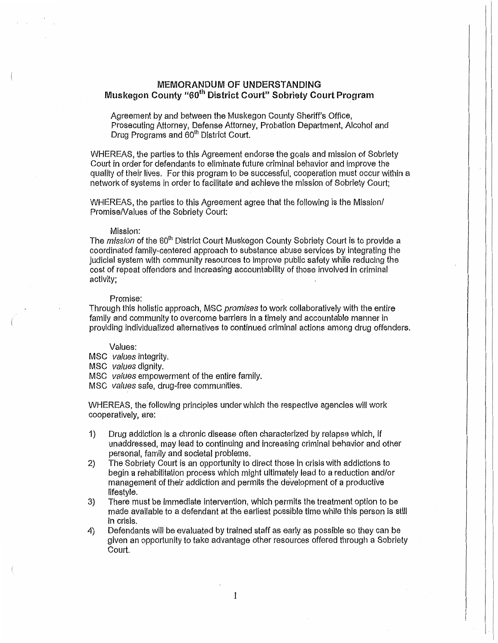## MEMORANDUM OF UNDERSTANDING Muskegon County "60<sup>th</sup> District Court" Sobriety Court Program

Agreement by and between the Muskegon County Sheriff's Office, Prosecuting Attorney, Defense Attorney, Probation Department, Alcohol and Drug Programs and 60<sup>th</sup> District Court.

WHEREAS, the parties to this Agreement endorse the goals and mission of Sobriety Court in order for defendants to eliminate future criminal behavior and improve the quality of their lives. For this program to be successful, cooperation must occur within a network of systems in order to facilitate and achieve the mission of Sobriety Court;

WHEREAS) the parties to this Agreement agree that the following is the Mission/ Promise/Values of the Sobriety Court:

#### Mission:

The *mission* of the 60<sup>th</sup> District Court Muskegon County Sobriety Court is to provide a coordinated family-centered approach to substance abuse services by integrating the judicial system with community resources to improve public safety while reducing the cost of repeat offenders and increasing accountability of those involved in criminal activity;

#### Promise:

Through this holistic approach, MSC promises to work collaboratively with the entire family and community to overcome barriers in a timely and accountable manner in providing individualized alternatives to continued criminal actions among drug offenders.

#### Values:

MSC values integrity.

MSC values dignity.

MSC values empowerment of the entire family.

MSC values safe, drug-free communities.

WHEREAS, the following principles under which the respective agencies will work cooperatively, are:

- 1) Drug addiction is a chronic disease often characterized by relapse which, if unaddressed, may lead to continuing and increasing criminal behavior and other personal, family and societal problems.
- 2) The Sobriety Court is an opportunity to direct those in crisis with addictions to begin a rehabilitation process which might ultimately lead to a reduction and/or management of their addiction and permits the development of a productive lifestyle.
- 3) There must be immediate intervention, which permits the treatment option to be made available to a defendant at the earliest possible time while this person is still in crisis.
- 4) Defendants will be evaluated by trained staff as early as possible so they can be given an opportunity to take advantage other resources offered through a Sobriety Court.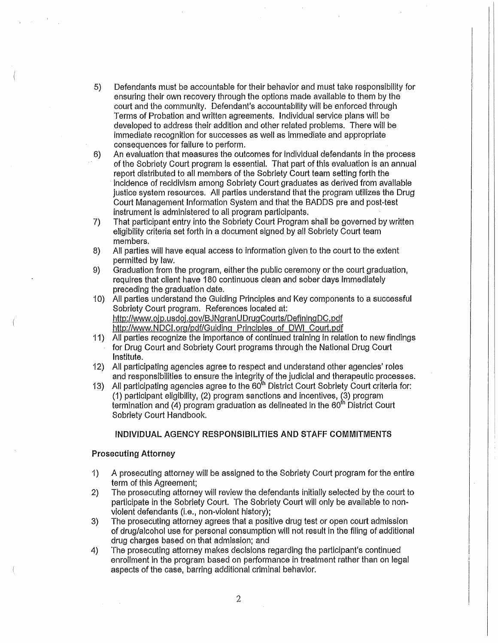- 5) Defendants must be accountable for their behavior and must take responsibility for ensuring their own recovery through the options made available to them by the court and the community. Defendant's accountability will be enforced through Terms of Probation and written agreements. Individual service plans will be developed to address their addition and other related problems. There will be immediate recognition for successes as well as immediate and appropriate consequences for failure to perform.
- 6) An evaluation that measures the outcomes for individual defendants in the process of the Sobriety Court program is essential. That part of this evaluation is an annual report distributed to all members of the Sobriety Court team setting forth the incidence of recidivism among Sobriety Court graduates as derived from available justice system resources. All parties understand that the program utilizes the Drug Court Management Information System and that the BADDS pre and post-test instrument is administered to all program participants.
- 7) That participant entry into the Sobriety Court Program shall be governed by written eligibility criteria set forth in a document signed by all Sobriety Court team members.
- 8) All parties will have equal access to information given to the court to the extent permitted by law.
- 9) Graduation from the program, either the public ceremony or the court graduation, requires that client have 180 continuous clean and sober days immediately preceding the graduation date.
- 1 0) All parties understand the Guiding Principles and Key components to a successful Sobriety Court program. References located at: http://www.ojp.usdoj.gov/BJNgranUDrugCourts/DefiningDC.pdf http://www.NDCI.org/pdf/Guiding Principles of OWl Court.pdf
- 11) All parties recognize the importance of continued training in relation to new findings for Drug Court and Sobriety Court programs through the National Drug Court Institute.
- 12) All participating agencies agree to respect and understand other agencies' roles and responsibilities to ensure the integrity of the judicial and therapeutic processes.
- 13) All participating agencies agree to the 60<sup>th</sup> District Court Sobriety Court criteria for:  $(1)$  participant eligibility,  $(2)$  program sanctions and incentives,  $(3)$  program termination and (4) program graduation as delineated in the  $60<sup>th</sup>$  District Court Sobriety Court Handbook.

## INDIVIDUAL AGENCY RESPONSIBILITIES AND STAFF COMMITMENTS

## Prosecuting Attorney

- 1) A prosecuting attorney will be assigned to the Sobriety Court program for the entire term of this Agreement;
- 2) The prosecuting attorney wilf review the defendants initially selected by the court to participate in the Sobriety Court. The Sobriety Court will only be available to nonviolent defendants (i.e., non-violent history);
- 3) The prosecuting attorney agrees that a positive drug test or open court admission of drug/alcohol use for personal consumption will not result in the filing of additional drug charges based on that admission; and
- 4) The prosecuting attorney makes decisions regarding the participant's continued enrollment in the program based on performance in treatment rather than on legal aspects of the case, barring additional criminal behavior.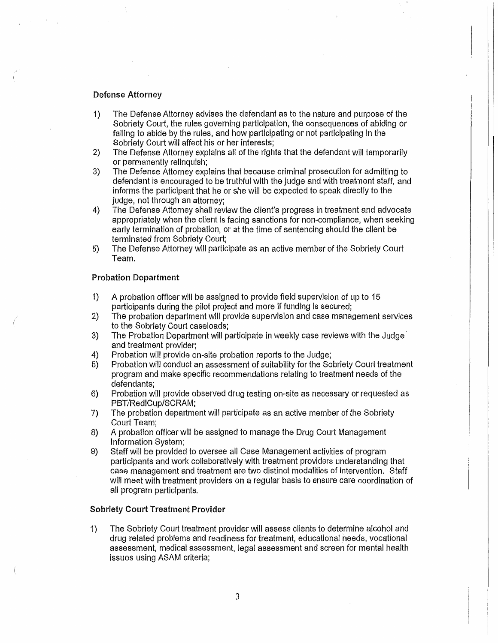## Defense Attorney

- 1) The Defense Attorney advises the defendant as to the nature and purpose of the Sobriety Court, the rules governing participation, the consequences of abiding or failing to abide by the rules, and how participating or not participating in the Sobriety Court will affect his or her interests;
- 2) The Defense Attorney explains all of the rights that the defendant will temporarily or permanently relinquish;
- 3) The Defense Attorney explains that because criminal prosecution for admitting to defendant is encouraged to be truthful with the judge and with treatment staff, and informs the participant that he or she will be expected to speak directly to the judge, not through an attorney;
- 4) The Defense Attorney shall review the client's progress in treatment and advocate appropriately when the client is facing sanctions for non-compliance, when seeking early termination of probation, or at the time of sentencing should the client be terminated from Sobriety Court;
- 5) The Defense Attorney will participate as an active member of the Sobriety Court Team.

## Probation Department

- 1) A probation officer will be assigned to provide field supervision of up to 15 participants during the pilot project and more if funding is secured;
- 2} The probation department will provide supervision and case management services to the Sobriety Court caseloads;
- 3) The Probation Department will participate in weekly case reviews with the Judge and treatment provider;
- 4) Probation will provide on-site probation reports to the Judge;
- 5) Probation will conduct an assessment of suitability for the Sobriety Court treatment program and make specific recommendations relating to treatment needs of the defendants;
- 6) Probation will provide observed drug testing on-site as necessary or requested as PBT/RediCup/SCRAM;
- 7) The probation department will participate as an active member of the Sobriety Court Team;
- 8) A probation officer will be assigned to manage the Drug Court Management Information System;
- 9) Staff will be provided to oversee all Case Management activities of program participants and work collaboratively with treatment providers understanding that case management and treatment are two distinct modalities of intervention. Staff will meet with treatment providers on a regular basis to ensure care coordination of all program participants.

## Sobriety Court Treatment Provider

1) The Sobriety Court treatment provider will assess clients to determine alcohol and drug related problems and readiness for treatment, educational needs, vocational assessment, medical assessment, legal assessment and screen for mental health issues using ASAM criteria;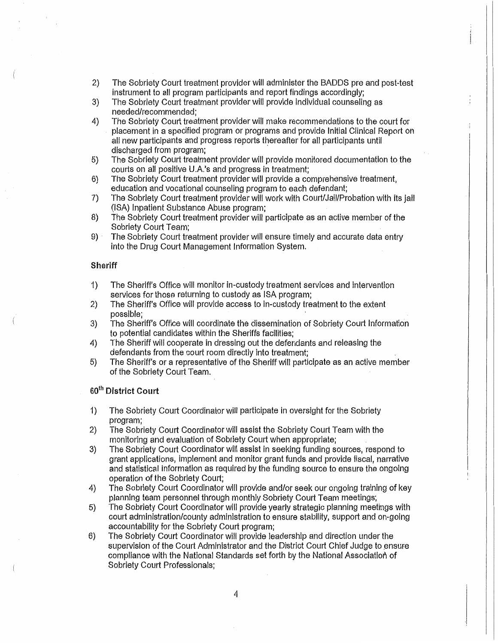- 2) The Sobriety Court treatment provider will administer the BADDS pre and post-test instrument to all program participants and report findings accordingly;
- 3) The Sobriety Court treatment provider will provide individual counseling as needed/recommended;
- 4) The Sobriety Court treatment provider wiH make recommendations to the court for placement in a specified program or programs and provide Initial Clinical Report on all new participants and progress reports thereafter for all participants until discharged from program;
- 5) The Sobriety Court treatment provider will provide monitored documentation to the courts on all positive U.A.'s and progress in treatment;
- 6) The Sobriety Court treatment provider will provide a comprehensive treatment, education and vocational counseling program to each defendant;
- 7) The Sobriety Court treatment provider will work with Court/Jail/Probation with its jail (ISA) Inpatient Substance Abuse program;
- 8) The Sobriety Court treatment provider will participate as an active member of the Sobriety Court Team;
- 9) · The Sobriety Court treatment provider will ensure timely and accurate data entry into the Drug Court Management Information System.

## **Sheriff**

- 1) The Sheriff's Office will monitor in-custody treatment services and intervention services for those returning to custody as ISA program;
- 2) The Sheriff's Office will provide access to in-custody treatment to the extent possible;
- 3) The Sheriff's Office will coordinate the dissemination of Sobriety Court Information to potential candidates within the Sheriffs facilities;
- 4) The Sheriff will cooperate in dressing out the defendants and releasing the defendants from the court room directly into treatment;
- 5) The Sheriff's or a representative of the Sheriff will participate as an active member of the Sobriety Court Team.

## 60<sup>th</sup> District Court

- 1) The Sobriety Court Coordinator will participate in oversight for the Sobriety program;
- 2) The Sobriety Court Coordinator will assist the Sobriety Court Team with the monitoring and evaluation of Sobriety Court when appropriate;
- 3) The Sobriety Court Coordinator will assist in seeking funding sources, respond to grant applications, implement and monitor grant funds and provide fiscal, narrative and statistical information as required by the funding source to ensure the ongoing operation of the Sobriety Court;
- 4) The Sobriety Court Coordinator will provide and/or seek our ongoing training of key planning team personnel through monthly Sobriety Court Team meetings;
- 5) The Sobriety Court Coordinator will provide yearly strategic planning meetings with court administration/county administration to ensure stability, support and on-going accountability for the Sobriety Court program;
- 6) The Sobriety Court Coordinator will provide leadership and direction under the supervision of the Court Administrator and the District Court Chief Judge to ensure compliance with the National Standards set forth by the National Association of Sobriety Court Professionals;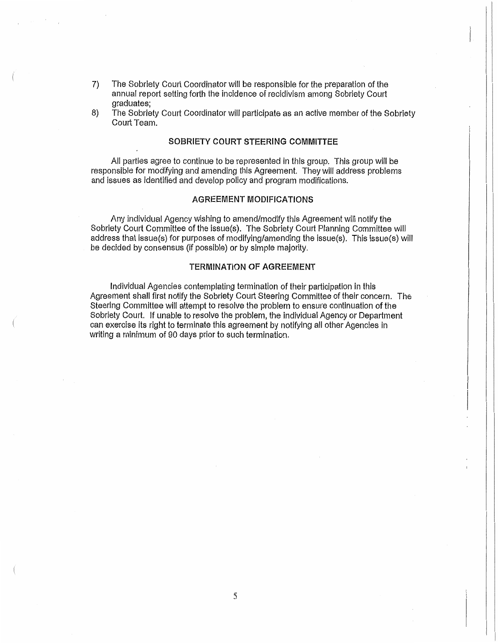- 7) The Sobriety Court Coordinator will be responsible for the preparation of the annual report setting forth the incidence of recidivism among Sobriety Court graduates;
- 8) The Sobriety Court Coordinator will participate as an active member of the Sobriety Court Team.

## SOBRIETY COURT STEERING COMMITTEE

All parties agree to continue to be represented in this group. This group will be responsible for modifying and amending this Agreement. They will address problems and issues as identified and develop policy and program modifications.

## AGREEMENT MODIFICATIONS

Any individual Agency wishing to amend/modify this Agreement will notify the Sobriety Court Committee of the issue(s). The Sobriety Court Planning Committee will address that issue(s) for purposes of modifying/amending the issue(s). This issue(s) will be decided by consensus (if possible) or by simple majority.

## TERMINATION OF AGREEMENT

Individual Agencies contemplating termination of their participation in this Agreement shall first notify the Sobriety Court Steering Committee of their concern. The Steering Committee wiH attempt to resolve the problem to ensure continuation of the Sobriety Court. If unable to resolve the problem, the individual Agency or Department can exercise its right to terminate this agreement by notifying all other Agencies in writing a minimum of 90 days prior to such termination.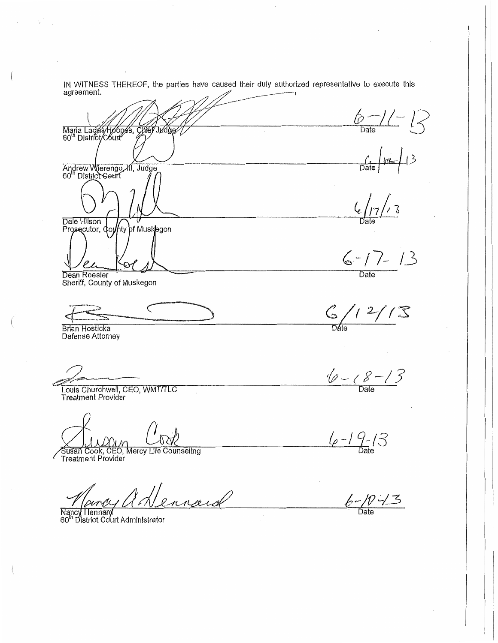IN WITNESS THEREOF, the parties have caused their duly authorized representative to execute this agreement.

 $6 - 1 - 12$ Maria Lagas/Hobbes, Chief Jиd  $\frac{1}{\frac{1}{\frac{1}{12}}\sqrt{\frac{1}{12}}}}$  13 Andrew Wierengo, *XI*, Judge<br>60<sup>th</sup> District Geurt  $\frac{7}{3}$ Dale Hilson<br>Prosecutor, County of Muskegon  $6 - 7 - 13$ Dean Roesler Sheriff, County of Muskegon  $\frac{C}{\text{Date}}$  / 2/ / 3  $\breve{C}$ **Brian Hosticka** Defense Attorney  $\frac{1}{2}$  -  $8 - 13$ Louis Churchwell, CEO, WMT/TLC **Treatment Provider**  $4 - 19 - 13$ 

 $6 - 10 - 3$ 

Susan Cook, CEO, Mercy Life Counseling<br>Treatment Provider

ennard

Nancy Hennard<br>60<sup>th</sup> District Court Administrator

 $\left\{ \right.$ 

 $\tau_{\rm c}$  ,  $\tau_{\rm c}$  ,  $\tau_{\rm c}$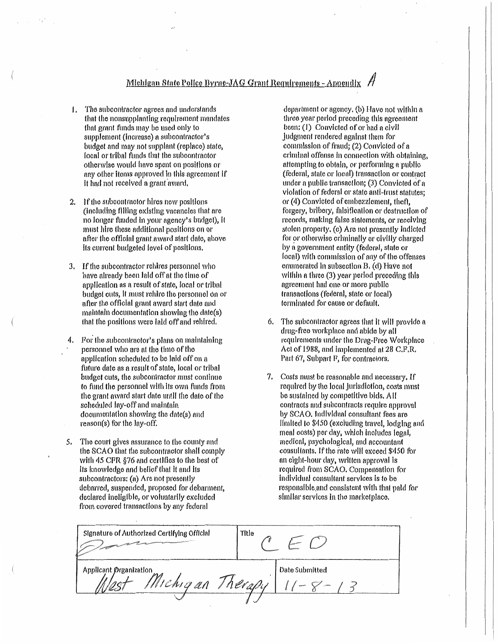- 1. The subcontractor agrees and understands that the nonsupplanting requirement mandates that grant funds may be used only to supplement (increase) a subcontractor's budget and may not supplant (replace) state. local or tribal funds that the subcontractor otherwise would have spent on positions or any other items approved in this agreement if it had not received a grant award,
- If the subcontractor hires new positions  $\overline{2}$ . (including filling existing vacancles that are no longer funded in your agency's budget), it must hire these additional positions on or after the official grant award start date, above its current budgeted level of positions.
- 3. If the subcontractor rehires personnel who have already been laid off at the time of application as a result of state, local or tribal budget outs, it must rehire the personnel on or after the official grant award start date and maintain documentation showing the date(s) that the positions were laid off and rehired.
- 4. For the subcontractor's plans on maintaining personnel who are at the time of the application scheduled to be laid off on a future date as a result of state, local or tribal budget cuts, the subcontractor must continue to fund the personnel with its own funds from the grant award start date until the date of the scheduled lay-off and maintain documentation showing the date(s) and reason(s) for the lay-off.
- 5. The court gives assurance to the county and the SCAO that the subcontractor shall comply with 45 CFR §76 and certifies to the best of its knowledge and belief that it and its subcontractors: (a) Are not presently debarred, suspended, proposed for debarment, declared ineligible, or voluntarily excluded from covered transactions by any federal

department or agency, (b) Haye not within a three year period preceding this agreement been; (1) Convicted of or had a civil judgment rendered against them for commission of fraud; (2) Convicted of a criminal offense in connection with obtaining, attempting to obtain, or performing a public (federal, state or local) transaction or contract under a public transaction; (3) Convicted of a violation of federal or state anti-trust statutes; or (4) Convicted of embezzlement, theft, forgery, bribery, falsification or destruction of records, making false statements, or receiving stolen property, (c) Are not presently Indicted for or otherwise criminally or civilly charged by a government entity (federal, state or local) with commission of any of the offenses enumerated in subsection B, (d) Have not within a three (3) year period preceding this agreement had one or more public transactions (federal, state or local) terminated for cause or default.

- 6. The subcontractor agrees that it will provide a drug-free workplace and abide by all requirements under the Drug-Free Workplace Act of 1988, and implemented at 28 C.F.R. Part 67, Subpart F, for contractors.
- 7. Costs must be reasonable and necessary. If required by the local jurisdiction, costs must be sustained by competitive bids. All contracts and subcontracts require approval by SCAO. Individual consultant fees are limited to \$450 (excluding travel, lodging and meal costs) per day, which includes legal, medical, psychological, and accountant consultants. If the rate will exceed \$450 for an eight-hour day, written approval is required from SCAO. Compensation for individual consultant services is to be responsible and consistent with that paid for similar services in the marketplace.

| Signature of Authorized Certifying Official | Title          |  |
|---------------------------------------------|----------------|--|
| Applicant Organization<br>Michigan Therapy  | Date Submitted |  |
|                                             |                |  |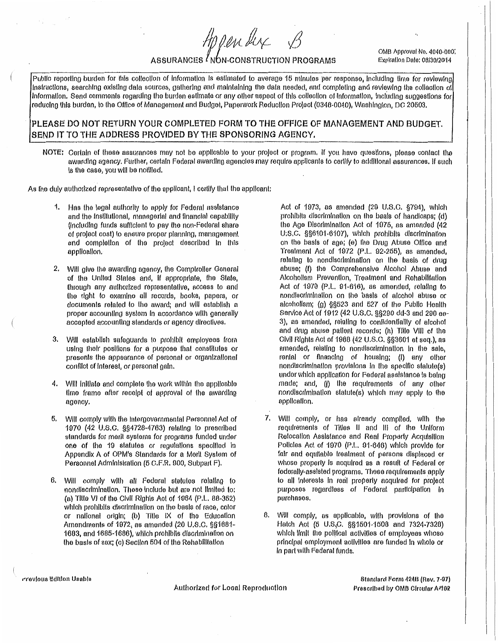HOPender

OMB Approval No. 4040-000. Explration Date: 06/30/2014

# ASSURANCES / NON-CONSTRUCTION PROGRAMS

Public reporting burden for this collection of information is estimated to average 15 minutes per response, including time for reviewing Instructions, searching existing data sources, gathering and maintaining the data needed, and completing and reviewing the collection of Information. Send comments regarding the burden estimate or any other aspect of this collection of information, including suggestions for reducing this burden, to the Office of Management and Budget, Paperwork Reduction Prolect (0348-0040), Washington, DC 20503.

## PLEASE DO NOT RETURN YOUR COMPLETED FORM TO THE OFFICE OF MANAGEMENT AND BUDGET. SEND IT TO THE ADDRESS PROVIDED BY THE SPONSORING AGENCY.

NOTE: Certain of these assurances may not be applicable to your project or program. If you have questions, please contact the awarding agency. Further, certain Federal awarding agencies may require applicants to certify to additional assurances. If such is the case, you will be notified.

As the duly authorized representative of the applicant, I certify that the applicant:

- 1. Has the legal authority to apply for Federal assistance and the Institutional, managerial and financial capability (including funds sufficient to pay the non-Federal share of project cost) to ensure proper planning, management and completion of the project described in this application.
- 2. Will give the awarding agency, the Compiroller General of the United States and, if appropriate, the State, through any authorized representative, access to and the right to examine all records, books, papers, or documents related to the award; and will establish a proper accounting system in accordance with generally accepted accounting standards or agency directives.
- 3. Will establish safeguards to prohibit employees from using their positions for a purpose that constitutes or presents the appearance of personal or organizational conflict of interest, or personal gain.
- 4. Will initiate and complete the work within the applicable time frame after receipt of approval of the awarding agency.
- 5. Will comply with the Intergovernmental Personnel Act of 1970 (42 U.S.C. §§4728-4763) relating to prescribed standards for merit systems for programs funded under one of the 19 statutes or regulations specified in Appendix A of OPM's Standards for a Merit System of Personnel Administration (5 C.F.R. 900, Subpart F).
- 6. Will comply with all Federal statutes relating to nondiscrimination. These include but are not limited to: (a) Title VI of the Civil Rights Act of 1964 (P.L. 88-352) which prohibits discrimination on the basis of race, color or national origin; (b) Title IX of the Education Amendments of 1972, as amended (20 U.S.C. §§1681-1683, and 1685-1686), which prohibits discrimination on the basis of sex; (c) Section 504 of the Rehabilitation

Act of 1973, as amended (29 U.S.C. §794), which prohibits discrimination on the basis of handicaps; (d) the Age Discrimination Act of 1975, as amended (42 U.S.C. §§6101-6107), which prohibits discrimination on the basis of age; (e) the Drug Abuse Office and Trealment Act of 1972 (P.L. 92-255), as amended, relating to nondiscrimination on the basis of drug abuse; (f) the Comprehensive Alcohol Abuse and Alcohollsm Prevention, Treatment and Rehabilitation Act of 1970 (P.L. 91-616), as amended, relating to nondiscrimination on the basis of alcohol abuse or alcoholism; (g) §§523 and 527 of the Public Health Service Act of 1912 (42 U.S.C. §§290 dd-3 and 290 ee-3), as amended, relating to confidentiality of alcohot and drug abuse patient records; (h) Title VIII of the Civil Rights Act of 1968 (42 U.S.C. §§3601 et seq.), as amended, relating to nondiscrimination in the sale, rental or financing of housing; (I) any other nondiscrimination provisions in the specific statute(s) under which application for Federal assistance is being made; and, (i) the requirements of any other nondiscrimination statute(s) which may apply to the application.

- 7. Will comply, or has already compiled, with the requirements of Titles II and III of the Uniform Relocation Assistance and Real Property Acquisition Policles Act of 1970 (P.L. 91-646) which provide for fair and equilable treatment of persons displaced or whose properly is acquired as a result of Federal or federally-assisted programs. These requirements apply to all interests in real property acquired for project purposes regardless of Federal participation in purchases.
- 8. Will comply, as applicable, with provisions of the Hatch Act (5 U.S.C. §§1501-1508 and 7324-7328) which limit the political activities of employees whose principal employment activities are funded in whole or In part with Federal funds,

rrevious Edition Usable

Authorized for Local Reproduction

Standard Form 424B (Rev. 7-97) Prescribed by OMB Circular A#02